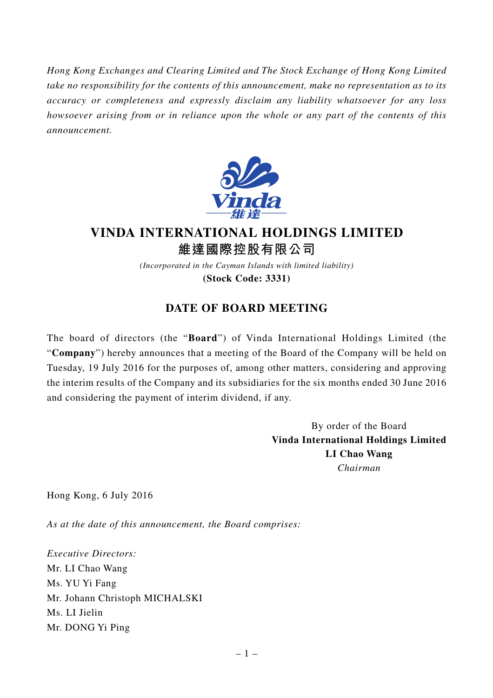*Hong Kong Exchanges and Clearing Limited and The Stock Exchange of Hong Kong Limited take no responsibility for the contents of this announcement, make no representation as to its accuracy or completeness and expressly disclaim any liability whatsoever for any loss howsoever arising from or in reliance upon the whole or any part of the contents of this announcement.*



## **VINDA INTERNATIONAL HOLDINGS LIMITED 維達國際控股有限公司**

*(Incorporated in the Cayman Islands with limited liability)* **(Stock Code: 3331)**

## **DATE OF BOARD MEETING**

The board of directors (the "**Board**") of Vinda International Holdings Limited (the "**Company**") hereby announces that a meeting of the Board of the Company will be held on Tuesday, 19 July 2016 for the purposes of, among other matters, considering and approving the interim results of the Company and its subsidiaries for the six months ended 30 June 2016 and considering the payment of interim dividend, if any.

> By order of the Board **Vinda International Holdings Limited LI Chao Wang** *Chairman*

Hong Kong, 6 July 2016

*As at the date of this announcement, the Board comprises:*

*Executive Directors:* Mr. LI Chao Wang Ms. YU Yi Fang Mr. Johann Christoph MICHALSKI Ms. LI Jielin Mr. DONG Yi Ping